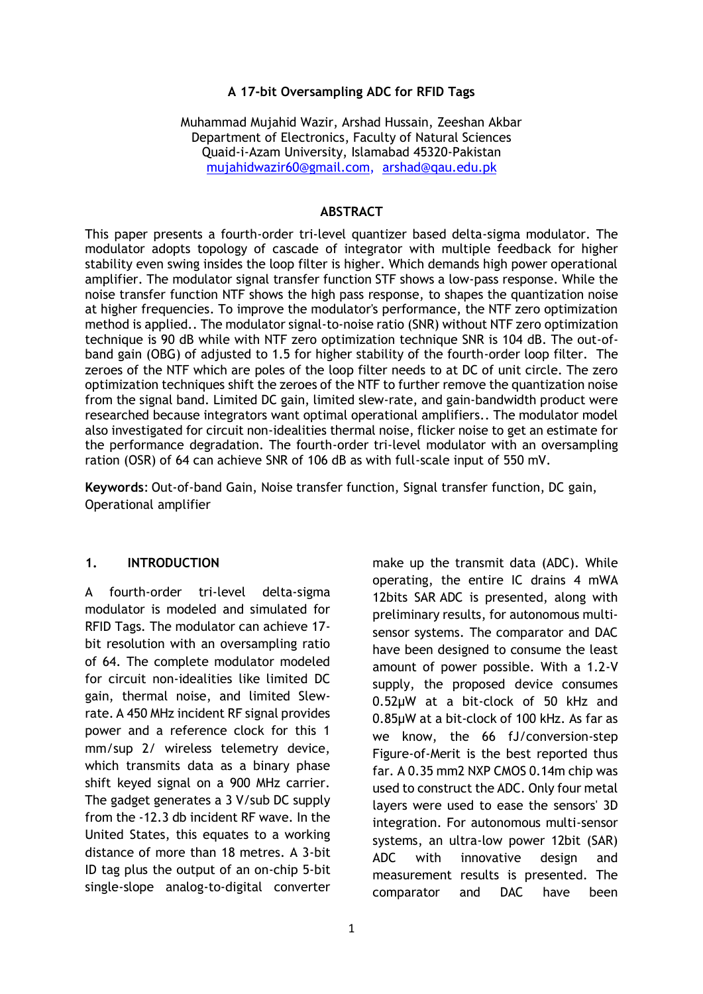### **A 17-bit Oversampling ADC for RFID Tags**

Muhammad Mujahid Wazir, Arshad Hussain, Zeeshan Akbar Department of Electronics, Faculty of Natural Sciences Quaid-i-Azam University, Islamabad 45320-Pakistan [mujahidwazir60@gmail.com,](mailto:mujahidwazir60@gmail.com) [arshad@qau.edu.pk](mailto:arshad@qau.edu.pk)

#### **ABSTRACT**

This paper presents a fourth-order tri-level quantizer based delta-sigma modulator. The modulator adopts topology of cascade of integrator with multiple feedback for higher stability even swing insides the loop filter is higher. Which demands high power operational amplifier. The modulator signal transfer function STF shows a low-pass response. While the noise transfer function NTF shows the high pass response, to shapes the quantization noise at higher frequencies. To improve the modulator's performance, the NTF zero optimization method is applied.. The modulator signal-to-noise ratio (SNR) without NTF zero optimization technique is 90 dB while with NTF zero optimization technique SNR is 104 dB. The out-ofband gain (OBG) of adjusted to 1.5 for higher stability of the fourth-order loop filter. The zeroes of the NTF which are poles of the loop filter needs to at DC of unit circle. The zero optimization techniques shift the zeroes of the NTF to further remove the quantization noise from the signal band. Limited DC gain, limited slew-rate, and gain-bandwidth product were researched because integrators want optimal operational amplifiers.. The modulator model also investigated for circuit non-idealities thermal noise, flicker noise to get an estimate for the performance degradation. The fourth-order tri-level modulator with an oversampling ration (OSR) of 64 can achieve SNR of 106 dB as with full-scale input of 550 mV.

**Keywords**: Out-of-band Gain, Noise transfer function, Signal transfer function, DC gain, Operational amplifier

### **1. INTRODUCTION**

A fourth-order tri-level delta-sigma modulator is modeled and simulated for RFID Tags. The modulator can achieve 17 bit resolution with an oversampling ratio of 64. The complete modulator modeled for circuit non-idealities like limited DC gain, thermal noise, and limited Slewrate. A 450 MHz incident RF signal provides power and a reference clock for this 1 mm/sup 2/ wireless telemetry device, which transmits data as a binary phase shift keyed signal on a 900 MHz carrier. The gadget generates a 3 V/sub DC supply from the -12.3 db incident RF wave. In the United States, this equates to a working distance of more than 18 metres. A 3-bit ID tag plus the output of an on-chip 5-bit single-slope analog-to-digital converter operating, the entire IC drains 4 mWA 12bits SAR ADC is presented, along with preliminary results, for autonomous multisensor systems. The comparator and DAC have been designed to consume the least amount of power possible. With a 1.2-V supply, the proposed device consumes 0.52µW at a bit-clock of 50 kHz and 0.85µW at a bit-clock of 100 kHz. As far as we know, the 66 fJ/conversion-step Figure-of-Merit is the best reported thus far. A 0.35 mm2 NXP CMOS 0.14m chip was used to construct the ADC. Only four metal layers were used to ease the sensors' 3D integration. For autonomous multi-sensor systems, an ultra-low power 12bit (SAR) ADC with innovative design and measurement results is presented. The comparator and DAC have been

make up the transmit data (ADC). While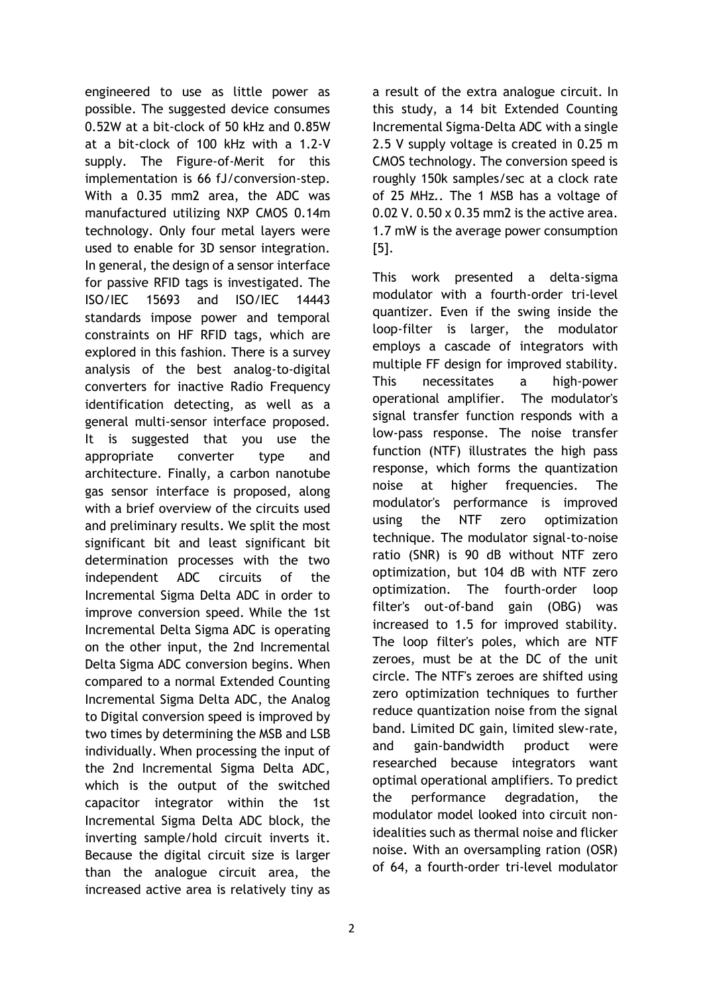engineered to use as little power as possible. The suggested device consumes 0.52W at a bit-clock of 50 kHz and 0.85W at a bit-clock of 100 kHz with a 1.2-V supply. The Figure-of-Merit for this implementation is 66 fJ/conversion-step. With a 0.35 mm2 area, the ADC was manufactured utilizing NXP CMOS 0.14m technology. Only four metal layers were used to enable for 3D sensor integration. In general, the design of a sensor interface for passive RFID tags is investigated. The ISO/IEC 15693 and ISO/IEC 14443 standards impose power and temporal constraints on HF RFID tags, which are explored in this fashion. There is a survey analysis of the best analog-to-digital converters for inactive Radio Frequency identification detecting, as well as a general multi-sensor interface proposed. It is suggested that you use the appropriate converter type and architecture. Finally, a carbon nanotube gas sensor interface is proposed, along with a brief overview of the circuits used and preliminary results. We split the most significant bit and least significant bit determination processes with the two independent ADC circuits of the Incremental Sigma Delta ADC in order to improve conversion speed. While the 1st Incremental Delta Sigma ADC is operating on the other input, the 2nd Incremental Delta Sigma ADC conversion begins. When compared to a normal Extended Counting Incremental Sigma Delta ADC, the Analog to Digital conversion speed is improved by two times by determining the MSB and LSB individually. When processing the input of the 2nd Incremental Sigma Delta ADC, which is the output of the switched capacitor integrator within the 1st Incremental Sigma Delta ADC block, the inverting sample/hold circuit inverts it. Because the digital circuit size is larger than the analogue circuit area, the increased active area is relatively tiny as

a result of the extra analogue circuit. In this study, a 14 bit Extended Counting Incremental Sigma-Delta ADC with a single 2.5 V supply voltage is created in 0.25 m CMOS technology. The conversion speed is roughly 150k samples/sec at a clock rate of 25 MHz.. The 1 MSB has a voltage of 0.02 V. 0.50 x 0.35 mm2 is the active area. 1.7 mW is the average power consumption [5].

This work presented a delta-sigma modulator with a fourth-order tri-level quantizer. Even if the swing inside the loop-filter is larger, the modulator employs a cascade of integrators with multiple FF design for improved stability. This necessitates a high-power operational amplifier. The modulator's signal transfer function responds with a low-pass response. The noise transfer function (NTF) illustrates the high pass response, which forms the quantization noise at higher frequencies. The modulator's performance is improved using the NTF zero optimization technique. The modulator signal-to-noise ratio (SNR) is 90 dB without NTF zero optimization, but 104 dB with NTF zero optimization. The fourth-order loop filter's out-of-band gain (OBG) was increased to 1.5 for improved stability. The loop filter's poles, which are NTF zeroes, must be at the DC of the unit circle. The NTF's zeroes are shifted using zero optimization techniques to further reduce quantization noise from the signal band. Limited DC gain, limited slew-rate, and gain-bandwidth product were researched because integrators want optimal operational amplifiers. To predict the performance degradation, the modulator model looked into circuit nonidealities such as thermal noise and flicker noise. With an oversampling ration (OSR) of 64, a fourth-order tri-level modulator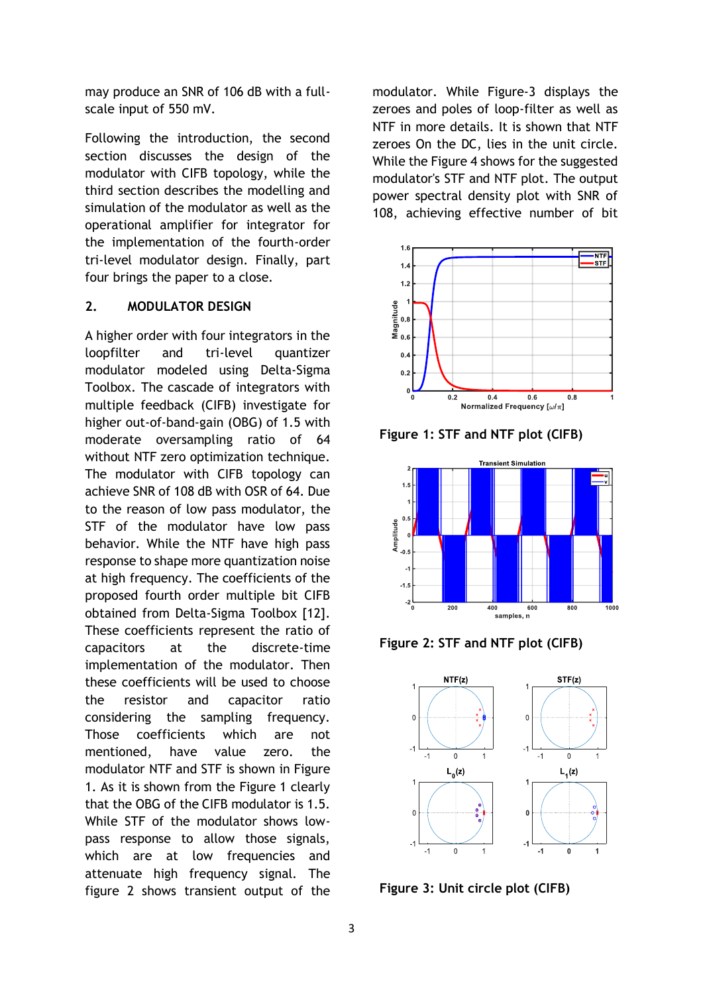may produce an SNR of 106 dB with a fullscale input of 550 mV.

Following the introduction, the second section discusses the design of the modulator with CIFB topology, while the third section describes the modelling and simulation of the modulator as well as the operational amplifier for integrator for the implementation of the fourth-order tri-level modulator design. Finally, part four brings the paper to a close.

## **2. MODULATOR DESIGN**

A higher order with four integrators in the loopfilter and tri-level quantizer modulator modeled using Delta-Sigma Toolbox. The cascade of integrators with multiple feedback (CIFB) investigate for higher out-of-band-gain (OBG) of 1.5 with moderate oversampling ratio of 64 without NTF zero optimization technique. The modulator with CIFB topology can achieve SNR of 108 dB with OSR of 64. Due to the reason of low pass modulator, the STF of the modulator have low pass behavior. While the NTF have high pass response to shape more quantization noise at high frequency. The coefficients of the proposed fourth order multiple bit CIFB obtained from Delta-Sigma Toolbox [12]. These coefficients represent the ratio of capacitors at the discrete-time implementation of the modulator. Then these coefficients will be used to choose the resistor and capacitor ratio considering the sampling frequency. Those coefficients which are not mentioned, have value zero. the modulator NTF and STF is shown in Figure 1. As it is shown from the Figure 1 clearly that the OBG of the CIFB modulator is 1.5. While STF of the modulator shows lowpass response to allow those signals, which are at low frequencies and attenuate high frequency signal. The figure 2 shows transient output of the

modulator. While Figure-3 displays the zeroes and poles of loop-filter as well as NTF in more details. It is shown that NTF zeroes On the DC, lies in the unit circle. While the Figure 4 shows for the suggested modulator's STF and NTF plot. The output power spectral density plot with SNR of 108, achieving effective number of bit



**Figure 1: STF and NTF plot (CIFB)**



**Figure 2: STF and NTF plot (CIFB)**



**Figure 3: Unit circle plot (CIFB)**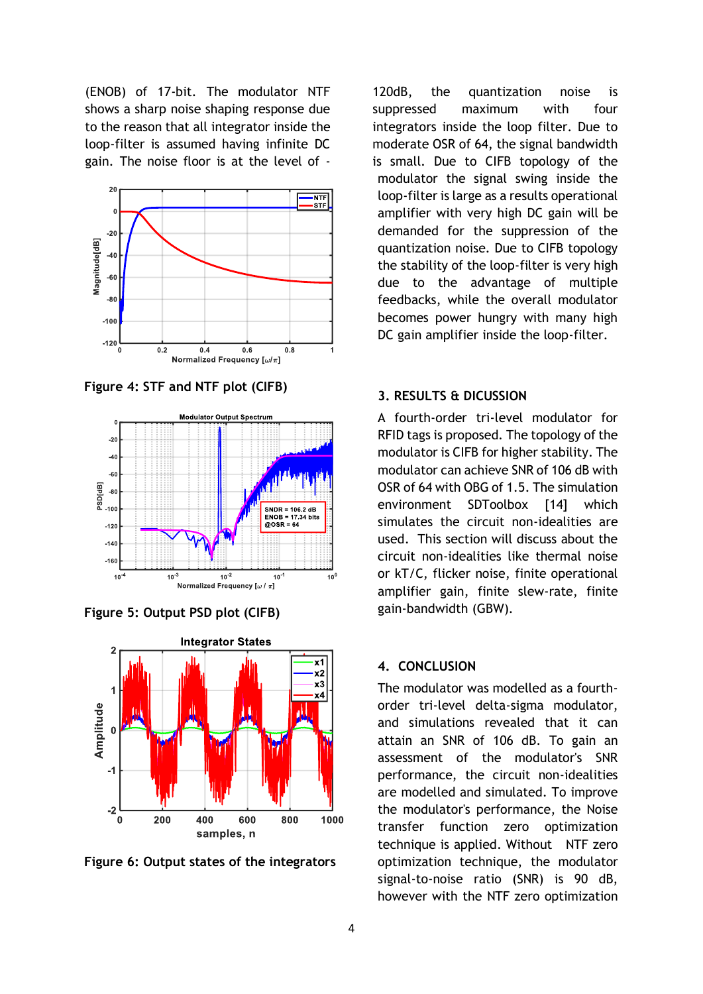(ENOB) of 17-bit. The modulator NTF shows a sharp noise shaping response due to the reason that all integrator inside the loop-filter is assumed having infinite DC gain. The noise floor is at the level of -



**Figure 4: STF and NTF plot (CIFB)**



**Figure 5: Output PSD plot (CIFB)**



**Figure 6: Output states of the integrators**

120dB, the quantization noise is suppressed maximum with four integrators inside the loop filter. Due to moderate OSR of 64, the signal bandwidth is small. Due to CIFB topology of the modulator the signal swing inside the loop-filter is large as a results operational amplifier with very high DC gain will be demanded for the suppression of the quantization noise. Due to CIFB topology the stability of the loop-filter is very high due to the advantage of multiple feedbacks, while the overall modulator becomes power hungry with many high DC gain amplifier inside the loop-filter.

## **3. RESULTS & DICUSSION**

A fourth-order tri-level modulator for RFID tags is proposed. The topology of the modulator is CIFB for higher stability. The modulator can achieve SNR of 106 dB with OSR of 64 with OBG of 1.5. The simulation environment SDToolbox [14] which simulates the circuit non-idealities are used. This section will discuss about the circuit non-idealities like thermal noise or kT/C, flicker noise, finite operational amplifier gain, finite slew-rate, finite gain-bandwidth (GBW).

#### **4. CONCLUSION**

The modulator was modelled as a fourthorder tri-level delta-sigma modulator, and simulations revealed that it can attain an SNR of 106 dB. To gain an assessment of the modulator's SNR performance, the circuit non-idealities are modelled and simulated. To improve the modulator's performance, the Noise transfer function zero optimization technique is applied. Without NTF zero optimization technique, the modulator signal-to-noise ratio (SNR) is 90 dB, however with the NTF zero optimization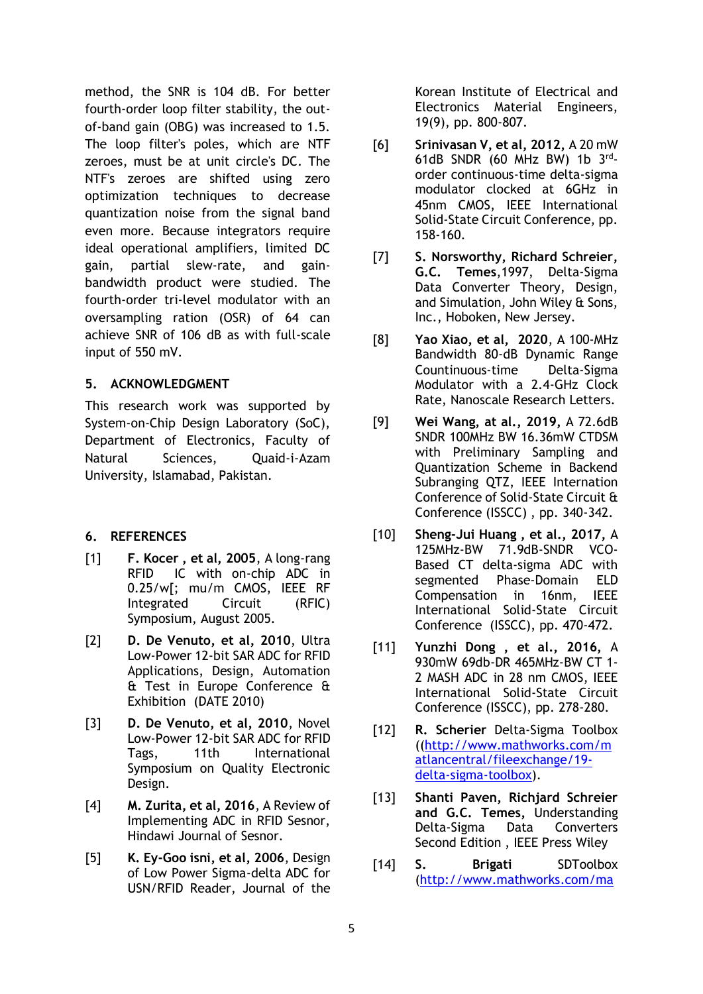method, the SNR is 104 dB. For better fourth-order loop filter stability, the outof-band gain (OBG) was increased to 1.5. The loop filter's poles, which are NTF zeroes, must be at unit circle's DC. The NTF's zeroes are shifted using zero optimization techniques to decrease quantization noise from the signal band even more. Because integrators require ideal operational amplifiers, limited DC gain, partial slew-rate, and gainbandwidth product were studied. The fourth-order tri-level modulator with an oversampling ration (OSR) of 64 can achieve SNR of 106 dB as with full-scale input of 550 mV.

## **5. ACKNOWLEDGMENT**

This research work was supported by System-on-Chip Design Laboratory (SoC), Department of Electronics, Faculty of Natural Sciences, Quaid-i-Azam University, Islamabad, Pakistan.

# **6. REFERENCES**

- [1] **F. Kocer , et al, 2005**, A long-rang RFID IC with on-chip ADC in 0.25/w[; mu/m CMOS, IEEE RF Integrated Circuit (RFIC) Symposium, August 2005.
- [2] **D. De Venuto, et al, 2010**, Ultra Low-Power 12-bit SAR ADC for RFID Applications, Design, Automation & Test in Europe Conference & Exhibition (DATE 2010)
- [3] **D. De Venuto, et al, 2010**, Novel Low-Power 12-bit SAR ADC for RFID Tags, 11th International Symposium on Quality Electronic Design.
- [4] **M. Zurita, et al, 2016**, A Review of Implementing ADC in RFID Sesnor, Hindawi Journal of Sesnor.
- [5] **K. Ey-Goo isni, et al, 2006**, Design of Low Power Sigma-delta ADC for USN/RFID Reader, Journal of the

Korean Institute of Electrical and Electronics Material Engineers, 19(9), pp. 800-807.

- [6] **Srinivasan V, et al, 2012,** A 20 mW 61dB SNDR (60 MHz BW) 1b  $3^{rd}$ order continuous-time delta-sigma modulator clocked at 6GHz in 45nm CMOS, IEEE International Solid-State Circuit Conference, pp. 158-160.
- [7] **S. Norsworthy, Richard Schreier, G.C. Temes**,1997, Delta-Sigma Data Converter Theory, Design, and Simulation, John Wiley & Sons, Inc., Hoboken, New Jersey.
- [8] **Yao Xiao, et al, 2020**, A 100-MHz Bandwidth 80-dB Dynamic Range Countinuous-time Delta-Sigma Modulator with a 2.4-GHz Clock Rate, Nanoscale Research Letters.
- [9] **Wei Wang, at al., 2019,** A 72.6dB SNDR 100MHz BW 16.36mW CTDSM with Preliminary Sampling and Quantization Scheme in Backend Subranging QTZ, IEEE Internation Conference of Solid-State Circuit & Conference (ISSCC) , pp. 340-342.
- [10] **Sheng-Jui Huang , et al., 2017,** A 125MHz-BW 71.9dB-SNDR VCO-Based CT delta-sigma ADC with segmented Phase-Domain ELD Compensation in 16nm, IEEE International Solid-State Circuit Conference (ISSCC), pp. 470-472.
- [11] **Yunzhi Dong , et al., 2016,** A 930mW 69db-DR 465MHz-BW CT 1- 2 MASH ADC in 28 nm CMOS, IEEE International Solid-State Circuit Conference (ISSCC), pp. 278-280.
- [12] **R. Scherier** Delta-Sigma Toolbox ([\(http://www.mathworks.com/m](http://www.mathworks.com/matlancentral/fileexchange/19-delta-sigma-toolbox) [atlancentral/fileexchange/19](http://www.mathworks.com/matlancentral/fileexchange/19-delta-sigma-toolbox) [delta-sigma-toolbox\)](http://www.mathworks.com/matlancentral/fileexchange/19-delta-sigma-toolbox).
- [13] **Shanti Paven, Richjard Schreier and G.C. Temes,** Understanding Delta-Sigma Data Converters Second Edition , IEEE Press Wiley
- [14] **S. Brigati** SDToolbox [\(http://www.mathworks.com/ma](http://www.mathworks.com/matlabcentral/fileexchange/2460-sd-toolbox)